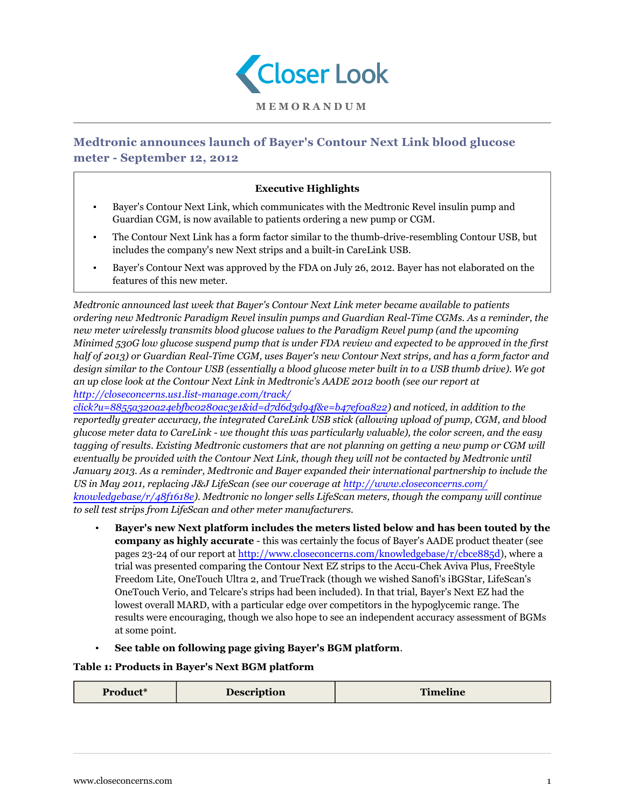

## **Medtronic announces launch of Bayer's Contour Next Link blood glucose meter - September 12, 2012**

## **Executive Highlights**

- Bayer's Contour Next Link, which communicates with the Medtronic Revel insulin pump and Guardian CGM, is now available to patients ordering a new pump or CGM.
- The Contour Next Link has a form factor similar to the thumb-drive-resembling Contour USB, but includes the company's new Next strips and a built-in CareLink USB.
- Bayer's Contour Next was approved by the FDA on July 26, 2012. Bayer has not elaborated on the features of this new meter.

*Medtronic announced last week that Bayer's Contour Next Link meter became available to patients ordering new Medtronic Paradigm Revel insulin pumps and Guardian Real-Time CGMs. As a reminder, the new meter wirelessly transmits blood glucose values to the Paradigm Revel pump (and the upcoming Minimed 530G low glucose suspend pump that is under FDA review and expected to be approved in the first half of 2013) or Guardian Real-Time CGM, uses Bayer's new Contour Next strips, and has a form factor and design similar to the Contour USB (essentially a blood glucose meter built in to a USB thumb drive). We got an up close look at the Contour Next Link in Medtronic's AADE 2012 booth (see our report at [http://closeconcerns.us1.list-manage.com/track/](http://closeconcerns.us1.list-manage.com/track/click?u=8855a320a24ebfbc0280ac3e1&id=d7d6d3d94f&e=b47ef0a822)*

*[click?u=8855a320a24ebfbc0280ac3e1&id=d7d6d3d94f&e=b47ef0a822\)](http://closeconcerns.us1.list-manage.com/track/click?u=8855a320a24ebfbc0280ac3e1&id=d7d6d3d94f&e=b47ef0a822) and noticed, in addition to the reportedly greater accuracy, the integrated CareLink USB stick (allowing upload of pump, CGM, and blood glucose meter data to CareLink - we thought this was particularly valuable), the color screen, and the easy tagging of results. Existing Medtronic customers that are not planning on getting a new pump or CGM will eventually be provided with the Contour Next Link, though they will not be contacted by Medtronic until January 2013. As a reminder, Medtronic and Bayer expanded their international partnership to include the US in May 2011, replacing J&J LifeScan (see our coverage at [http://www.closeconcerns.com/](/knowledgebase/r/48f1618e) [knowledgebase/r/48f1618e](/knowledgebase/r/48f1618e)). Medtronic no longer sells LifeScan meters, though the company will continue to sell test strips from LifeScan and other meter manufacturers.*

- **Bayer's new Next platform includes the meters listed below and has been touted by the company as highly accurate** - this was certainly the focus of Bayer's AADE product theater (see pages 23-24 of our report at [http://www.closeconcerns.com/knowledgebase/r/cbce885d](/knowledgebase/r/cbce885d)), where a trial was presented comparing the Contour Next EZ strips to the Accu-Chek Aviva Plus, FreeStyle Freedom Lite, OneTouch Ultra 2, and TrueTrack (though we wished Sanofi's iBGStar, LifeScan's OneTouch Verio, and Telcare's strips had been included). In that trial, Bayer's Next EZ had the lowest overall MARD, with a particular edge over competitors in the hypoglycemic range. The results were encouraging, though we also hope to see an independent accuracy assessment of BGMs at some point.
- **See table on following page giving Bayer's BGM platform**.

## **Table 1: Products in Bayer's Next BGM platform**

| Product* | <b>Description</b> | <b>Timeline</b> |
|----------|--------------------|-----------------|
|          |                    |                 |